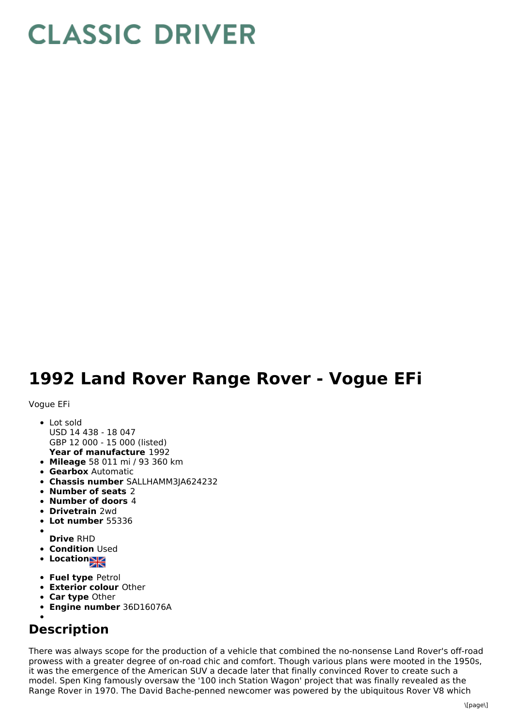## **CLASSIC DRIVER**

## **1992 Land Rover Range Rover - Vogue EFi**

Vogue EFi

- **Year of manufacture** 1992 • Lot sold USD 14 438 - 18 047 GBP 12 000 - 15 000 (listed)
- **Mileage** 58 011 mi / 93 360 km
- **Gearbox** Automatic
- **Chassis number** SALLHAMM3JA624232
- **Number of seats** 2
- **Number of doors** 4
- **Drivetrain** 2wd
- **Lot number** 55336
- **Drive** RHD
- **Condition Used**
- **Location**
- **Fuel type** Petrol
- **Exterior colour** Other
- **Car type** Other
- **Engine number** 36D16076A
- 

## **Description**

There was always scope for the production of a vehicle that combined the no-nonsense Land Rover's off-road prowess with a greater degree of on-road chic and comfort. Though various plans were mooted in the 1950s, it was the emergence of the American SUV a decade later that finally convinced Rover to create such a model. Spen King famously oversaw the '100 inch Station Wagon' project that was finally revealed as the Range Rover in 1970. The David Bache-penned newcomer was powered by the ubiquitous Rover V8 which